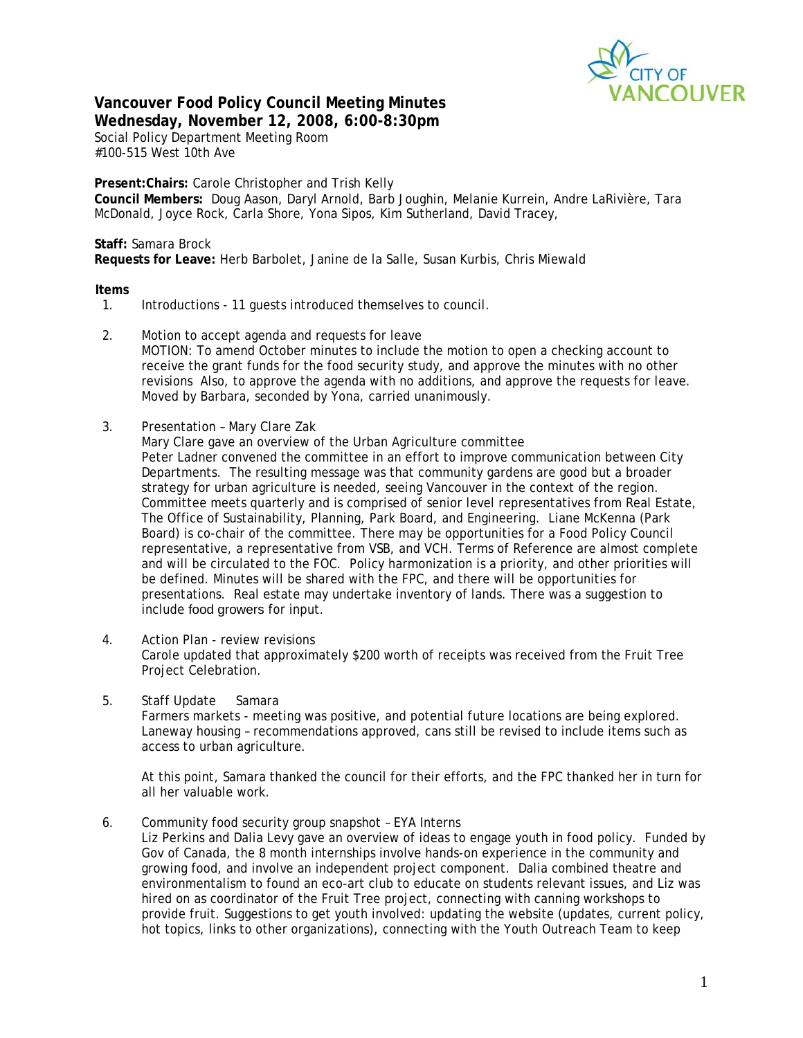

# **Vancouver Food Policy Council Meeting Minutes Wednesday, November 12, 2008, 6:00-8:30pm**

Social Policy Department Meeting Room #100-515 West 10th Ave

**Present:Chairs:** Carole Christopher and Trish Kelly **Council Members:** Doug Aason, Daryl Arnold, Barb Joughin, Melanie Kurrein, Andre LaRivière, Tara McDonald, Joyce Rock, Carla Shore, Yona Sipos, Kim Sutherland, David Tracey,

## **Staff:** Samara Brock

**Requests for Leave:** Herb Barbolet, Janine de la Salle, Susan Kurbis, Chris Miewald

### **Items**

- 1. Introductions 11 guests introduced themselves to council.
- 2. Motion to accept agenda and requests for leave MOTION: To amend October minutes to include the motion to open a checking account to receive the grant funds for the food security study, and approve the minutes with no other revisions Also, to approve the agenda with no additions, and approve the requests for leave. Moved by Barbara, seconded by Yona, carried unanimously.
- 3. Presentation Mary Clare Zak
	- Mary Clare gave an overview of the Urban Agriculture committee Peter Ladner convened the committee in an effort to improve communication between City Departments. The resulting message was that community gardens are good but a broader strategy for urban agriculture is needed, seeing Vancouver in the context of the region. Committee meets quarterly and is comprised of senior level representatives from Real Estate, The Office of Sustainability, Planning, Park Board, and Engineering. Liane McKenna (Park Board) is co-chair of the committee. There may be opportunities for a Food Policy Council representative, a representative from VSB, and VCH. Terms of Reference are almost complete and will be circulated to the FOC. Policy harmonization is a priority, and other priorities will be defined. Minutes will be shared with the FPC, and there will be opportunities for presentations. Real estate may undertake inventory of lands. There was a suggestion to include food growers for input.
- 4. Action Plan review revisions Carole updated that approximately \$200 worth of receipts was received from the Fruit Tree Project Celebration.
- 5. Staff Update Samara Farmers markets - meeting was positive, and potential future locations are being explored. Laneway housing – recommendations approved, cans still be revised to include items such as access to urban agriculture.

At this point, Samara thanked the council for their efforts, and the FPC thanked her in turn for all her valuable work.

6. Community food security group snapshot – EYA Interns

Liz Perkins and Dalia Levy gave an overview of ideas to engage youth in food policy. Funded by Gov of Canada, the 8 month internships involve hands-on experience in the community and growing food, and involve an independent project component. Dalia combined theatre and environmentalism to found an eco-art club to educate on students relevant issues, and Liz was hired on as coordinator of the Fruit Tree project, connecting with canning workshops to provide fruit. Suggestions to get youth involved: updating the website (updates, current policy, hot topics, links to other organizations), connecting with the Youth Outreach Team to keep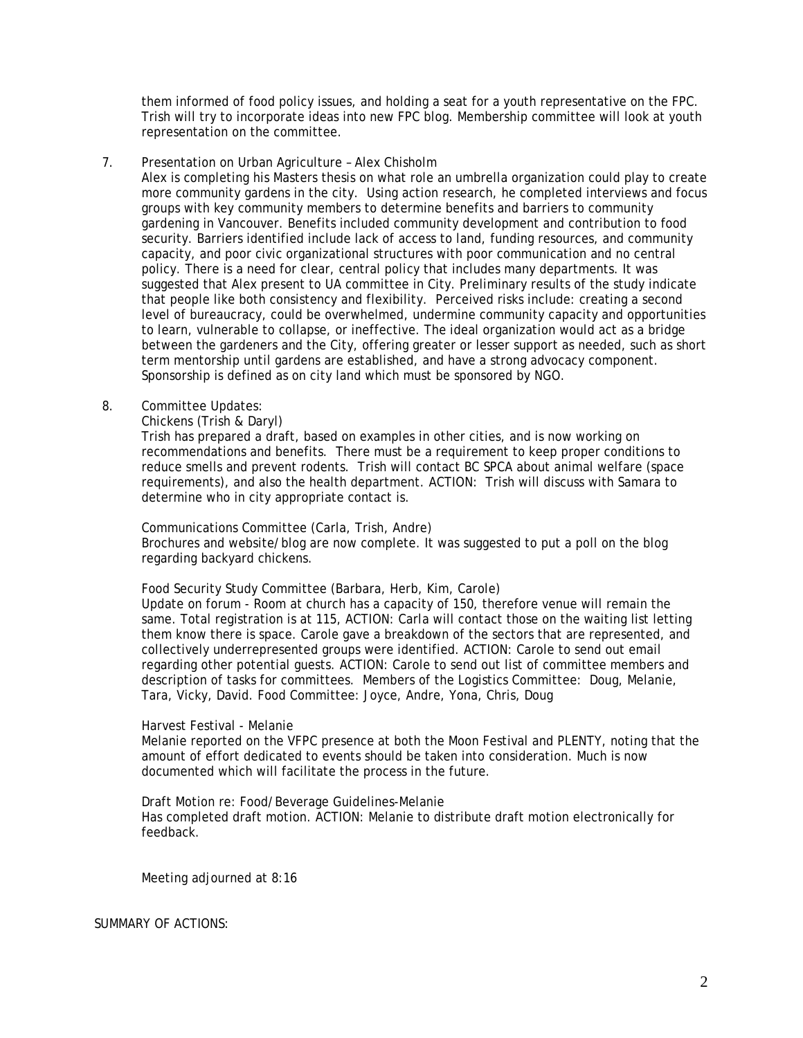them informed of food policy issues, and holding a seat for a youth representative on the FPC. Trish will try to incorporate ideas into new FPC blog. Membership committee will look at youth representation on the committee.

7. Presentation on Urban Agriculture – Alex Chisholm

Alex is completing his Masters thesis on what role an umbrella organization could play to create more community gardens in the city. Using action research, he completed interviews and focus groups with key community members to determine benefits and barriers to community gardening in Vancouver. Benefits included community development and contribution to food security. Barriers identified include lack of access to land, funding resources, and community capacity, and poor civic organizational structures with poor communication and no central policy. There is a need for clear, central policy that includes many departments. It was suggested that Alex present to UA committee in City. Preliminary results of the study indicate that people like both consistency and flexibility. Perceived risks include: creating a second level of bureaucracy, could be overwhelmed, undermine community capacity and opportunities to learn, vulnerable to collapse, or ineffective. The ideal organization would act as a bridge between the gardeners and the City, offering greater or lesser support as needed, such as short term mentorship until gardens are established, and have a strong advocacy component. Sponsorship is defined as on city land which must be sponsored by NGO.

## 8. Committee Updates:

Chickens (Trish & Daryl)

 Trish has prepared a draft, based on examples in other cities, and is now working on recommendations and benefits. There must be a requirement to keep proper conditions to reduce smells and prevent rodents. Trish will contact BC SPCA about animal welfare (space requirements), and also the health department. ACTION: Trish will discuss with Samara to determine who in city appropriate contact is.

Communications Committee (Carla, Trish, Andre)

 Brochures and website/blog are now complete. It was suggested to put a poll on the blog regarding backyard chickens.

Food Security Study Committee (Barbara, Herb, Kim, Carole)

Update on forum - Room at church has a capacity of 150, therefore venue will remain the same. Total registration is at 115, ACTION: Carla will contact those on the waiting list letting them know there is space. Carole gave a breakdown of the sectors that are represented, and collectively underrepresented groups were identified. ACTION: Carole to send out email regarding other potential guests. ACTION: Carole to send out list of committee members and description of tasks for committees. Members of the Logistics Committee: Doug, Melanie, Tara, Vicky, David. Food Committee: Joyce, Andre, Yona, Chris, Doug

#### Harvest Festival - Melanie

Melanie reported on the VFPC presence at both the Moon Festival and PLENTY, noting that the amount of effort dedicated to events should be taken into consideration. Much is now documented which will facilitate the process in the future.

#### Draft Motion re: Food/Beverage Guidelines-Melanie

Has completed draft motion. ACTION: Melanie to distribute draft motion electronically for feedback.

Meeting adjourned at 8:16

SUMMARY OF ACTIONS: